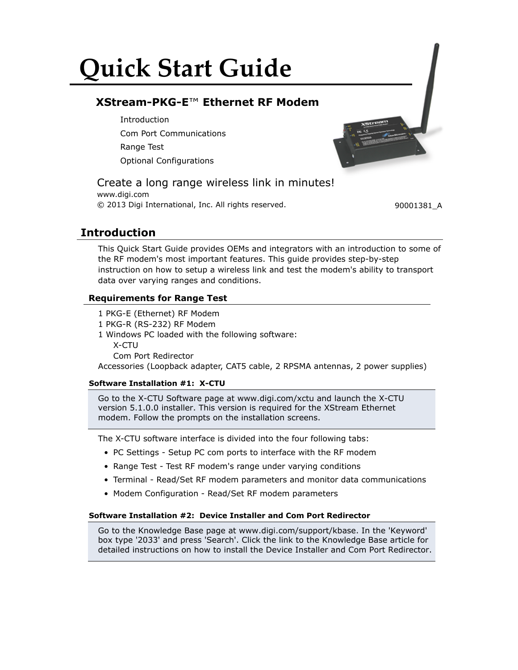# **Quick Start Guide**

# **XStream-PKG-E**™ **Ethernet RF Modem**

**Introduction** Com Port Communications Range Test Optional Configurations

## Create a long range wireless link in minutes!

www.digi.com © 2013 Digi International, Inc. All rights reserved. 90001381\_A

## **Introduction**

This Quick Start Guide provides OEMs and integrators with an introduction to some of the RF modem's most important features. This guide provides step-by-step instruction on how to setup a wireless link and test the modem's ability to transport data over varying ranges and conditions.

### **Requirements for Range Test**

- 1 PKG-E (Ethernet) RF Modem
- 1 PKG-R (RS-232) RF Modem
- 1 Windows PC loaded with the following software: X-CTU
	- Com Port Redirector

Accessories (Loopback adapter, CAT5 cable, 2 RPSMA antennas, 2 power supplies)

#### **Software Installation #1: X-CTU**

Go to the X-CTU Software page at www.digi.com/xctu and launch the X-CTU version 5.1.0.0 installer. This version is required for the XStream Ethernet modem. Follow the prompts on the installation screens.

The X-CTU software interface is divided into the four following tabs:

- PC Settings Setup PC com ports to interface with the RF modem
- Range Test Test RF modem's range under varying conditions
- Terminal Read/Set RF modem parameters and monitor data communications
- Modem Configuration Read/Set RF modem parameters

#### **Software Installation #2: Device Installer and Com Port Redirector**

Go to the Knowledge Base page at www.digi.com/support/kbase. In the 'Keyword' box type '2033' and press 'Search'. Click the link to the Knowledge Base article for detailed instructions on how to install the Device Installer and Com Port Redirector.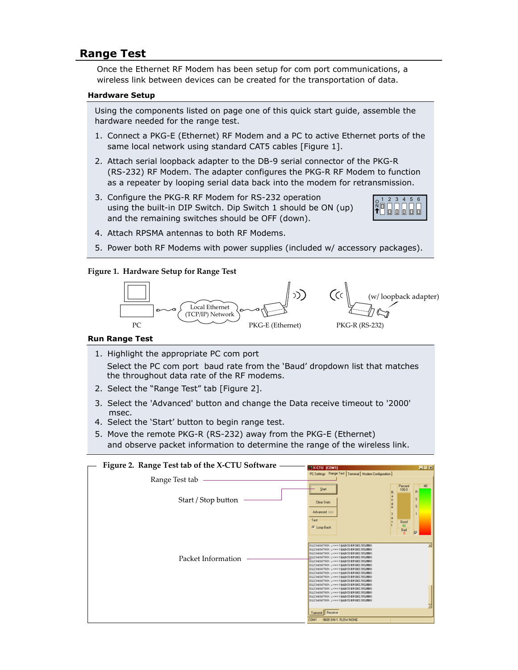## **Range Test**

Once the Ethernet RF Modem has been setup for com port communications, a wireless link between devices can be created for the transportation of data.

#### **Hardware Setup**

Using the components listed on page one of this quick start guide, assemble the hardware needed for the range test.

- 1. Connect a PKG-E (Ethernet) RF Modem and a PC to active Ethernet ports of the same local network using standard CAT5 cables [Figure 1].
- 2. Attach serial loopback adapter to the DB-9 serial connector of the PKG-R (RS-232) RF Modem. The adapter configures the PKG-R RF Modem to function as a repeater by looping serial data back into the modem for retransmission.
- 3. Configure the PKG-R RF Modem for RS-232 operation using the built-in DIP Switch. Dip Switch 1 should be ON (up) and the remaining switches should be OFF (down).



- 4. Attach RPSMA antennas to both RF Modems.
- 5. Power both RF Modems with power supplies (included w/ accessory packages).

#### **Figure 1. Hardware Setup for Range Test**



#### **Run Range Test**

- 1. Highlight the appropriate PC com port Select the PC com port baud rate from the 'Baud' dropdown list that matches the throughout data rate of the RF modems.
- 2. Select the "Range Test" tab [Figure 2].
- 3. Select the 'Advanced' button and change the Data receive timeout to '2000' msec.
- 4. Select the 'Start' button to begin range test.
- 5. Move the remote PKG-R (RS-232) away from the PKG-E (Ethernet) and observe packet information to determine the range of the wireless link.

| Figure 2. Range Test tab of the X-CTU Software | <b>HEM</b><br><b>FEX-CTU (COMT)</b>                                                                                                                                                                                                                                                                                                                                                                                                                                                                                                                                                                                                                                                                                                                                           |  |
|------------------------------------------------|-------------------------------------------------------------------------------------------------------------------------------------------------------------------------------------------------------------------------------------------------------------------------------------------------------------------------------------------------------------------------------------------------------------------------------------------------------------------------------------------------------------------------------------------------------------------------------------------------------------------------------------------------------------------------------------------------------------------------------------------------------------------------------|--|
| Range Test tab                                 | PC Settings Range Test   Terminal   Modem Conliguration                                                                                                                                                                                                                                                                                                                                                                                                                                                                                                                                                                                                                                                                                                                       |  |
| Start / Stop button                            | Percent<br>100.0<br>Start<br>$\overline{R}$<br>ś<br>Clear Stats<br>s<br>Advanced 333                                                                                                                                                                                                                                                                                                                                                                                                                                                                                                                                                                                                                                                                                          |  |
| Packet Information                             | Test<br>$\frac{6000}{48}$<br><b><i>G</i></b> Loop Back<br>Bad<br>ь<br>0123456709: J <= > > > NABCD BFGHE FILMNO<br>0123456789; J <= > 38ABCD SFORT FRIMAD<br>0123456709: J <<>>>>>>> 38ABCD BFGHIJNLMNO<br>0123456769; J <<>>><>>>>>>3800247081781200<br>0123456709: J <<>>><>>>>>>380CD SFGHIJKLMX0<br>0123456709: J <<>>><>>>>>>38ABCD@FGHIJNLMMO<br>0123456709   J <<> ><>>>>>>380CD \$FGHIJKLMNO<br>0123456709: 2 <=> ? BABCD BFGHL7HLMMO<br>0123456789   J <<> ><>>>>>3838CD SFGRIJKLMX0<br>0123456709: J <=> ? BABCD BFGBI JICLINIO<br>0123456709; J <=> 28ABCD BFORE FRLMMO<br>0123456709: J <<>>><>>>>>3845CD 8FG827KLMMO<br>O123456703: J <=> ?BABCD BFGHI JHLMMO<br>0123456709   J <<> ><>>>>>>383670 #FGHI JELMAO<br>0123456709: J <<>>><>>>>>>3838CD @FGHI JHLMNO |  |
|                                                | Transmit Receive<br>9600 8 N-1 FLOW NONE<br>COM1                                                                                                                                                                                                                                                                                                                                                                                                                                                                                                                                                                                                                                                                                                                              |  |